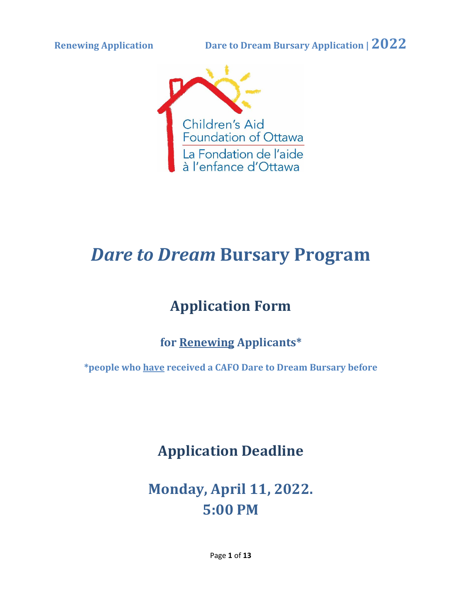

# *Dare to Dream* **Bursary Program**

# **Application Form**

# **for Renewing Applicants\***

**\*people who have received a CAFO Dare to Dream Bursary before**

**Application Deadline**

**Monday, April 11, 2022. 5:00 PM**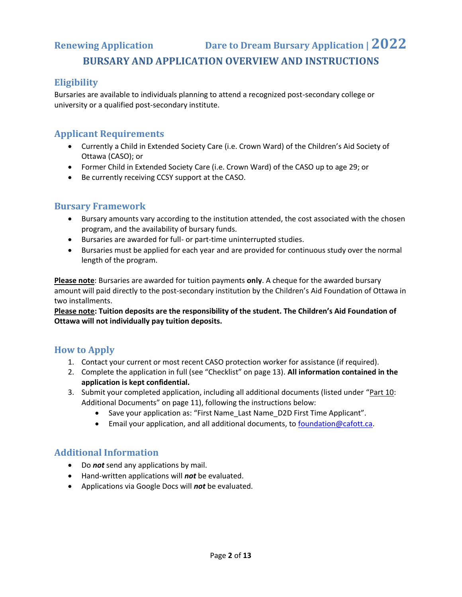**Renewing Application Dare to Dream Bursary Application | 2022**

#### **BURSARY AND APPLICATION OVERVIEW AND INSTRUCTIONS**

#### **Eligibility**

Bursaries are available to individuals planning to attend a recognized post-secondary college or university or a qualified post-secondary institute.

#### **Applicant Requirements**

- Currently a Child in Extended Society Care (i.e. Crown Ward) of the Children's Aid Society of Ottawa (CASO); or
- Former Child in Extended Society Care (i.e. Crown Ward) of the CASO up to age 29; or
- Be currently receiving CCSY support at the CASO.

#### **Bursary Framework**

- Bursary amounts vary according to the institution attended, the cost associated with the chosen program, and the availability of bursary funds.
- Bursaries are awarded for full- or part-time uninterrupted studies.
- Bursaries must be applied for each year and are provided for continuous study over the normal length of the program.

**Please note**: Bursaries are awarded for tuition payments **only**. A cheque for the awarded bursary amount will paid directly to the post-secondary institution by the Children's Aid Foundation of Ottawa in two installments.

**Please note: Tuition deposits are the responsibility of the student. The Children's Aid Foundation of Ottawa will not individually pay tuition deposits.** 

#### **How to Apply**

- 1. Contact your current or most recent CASO protection worker for assistance (if required).
- 2. Complete the application in full (see "Checklist" on page 13). **All information contained in the application is kept confidential.**
- 3. Submit your completed application, including all additional documents (listed under "Part 10: Additional Documents" on page 11), following the instructions below:
	- Save your application as: "First Name\_Last Name\_D2D First Time Applicant".
	- Email your application, and all additional documents, to [foundation@cafott.ca.](mailto:foundation@cafott.ca)

#### **Additional Information**

- Do *not* send any applications by mail.
- Hand-written applications will *not* be evaluated.
- Applications via Google Docs will *not* be evaluated.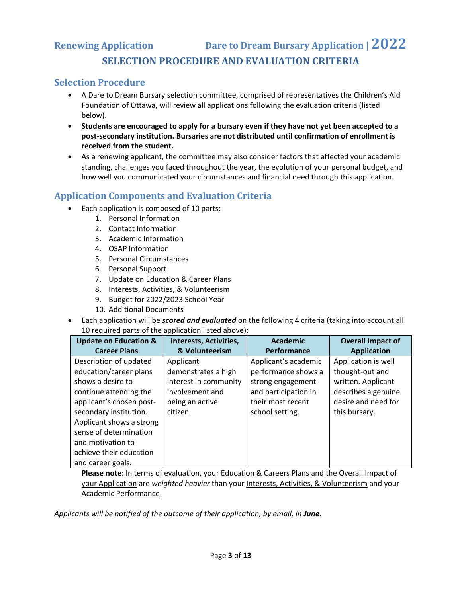# **Renewing Application Dare to Dream Bursary Application | 2022 SELECTION PROCEDURE AND EVALUATION CRITERIA**

#### **Selection Procedure**

- A Dare to Dream Bursary selection committee, comprised of representatives the Children's Aid Foundation of Ottawa, will review all applications following the evaluation criteria (listed below).
- **Students are encouraged to apply for a bursary even if they have not yet been accepted to a post-secondary institution. Bursaries are not distributed until confirmation of enrollment is received from the student.**
- As a renewing applicant, the committee may also consider factors that affected your academic standing, challenges you faced throughout the year, the evolution of your personal budget, and how well you communicated your circumstances and financial need through this application.

### **Application Components and Evaluation Criteria**

- Each application is composed of 10 parts:
	- 1. Personal Information
	- 2. Contact Information
	- 3. Academic Information
	- 4. OSAP Information
	- 5. Personal Circumstances
	- 6. Personal Support
	- 7. Update on Education & Career Plans
	- 8. Interests, Activities, & Volunteerism
	- 9. Budget for 2022/2023 School Year
	- 10. Additional Documents
- Each application will be *scored and evaluated* on the following 4 criteria (taking into account all 10 required parts of the application listed above):

| <b>Update on Education &amp;</b> | Interests, Activities, | Academic             | <b>Overall Impact of</b> |
|----------------------------------|------------------------|----------------------|--------------------------|
| <b>Career Plans</b>              | & Volunteerism         | <b>Performance</b>   | <b>Application</b>       |
| Description of updated           | Applicant              | Applicant's academic | Application is well      |
| education/career plans           | demonstrates a high    | performance shows a  | thought-out and          |
| shows a desire to                | interest in community  | strong engagement    | written. Applicant       |
| continue attending the           | involvement and        | and participation in | describes a genuine      |
| applicant's chosen post-         | being an active        | their most recent    | desire and need for      |
| secondary institution.           | citizen.               | school setting.      | this bursary.            |
| Applicant shows a strong         |                        |                      |                          |
| sense of determination           |                        |                      |                          |
| and motivation to                |                        |                      |                          |
| achieve their education          |                        |                      |                          |
| and career goals.                |                        |                      |                          |

**Please note**: In terms of evaluation, your Education & Careers Plans and the Overall Impact of your Application are *weighted heavier* than your Interests, Activities, & Volunteerism and your Academic Performance.

Applicants will be notified of the outcome of their application, by email, in June.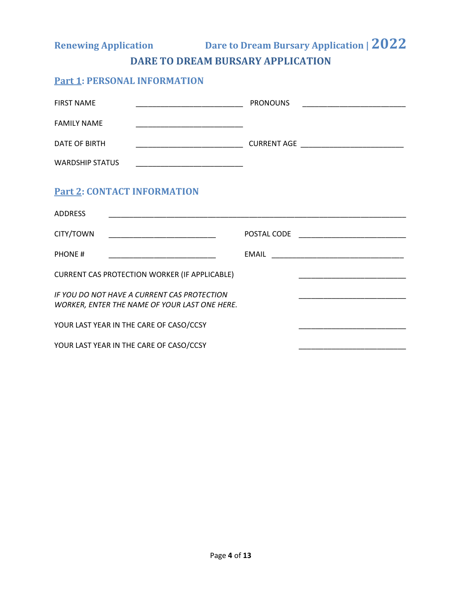**Renewing Application Dare to Dream Bursary Application | 2022**

**DARE TO DREAM BURSARY APPLICATION**

### **Part 1: PERSONAL INFORMATION**

| <b>FIRST NAME</b><br><u> 1989 - Johann John Stone, mars et al. 1989 - John Stone, mars et al. 1989 - John Stone, mars et al. 1989 - John Stone</u>                           | <b>PRONOUNS</b> |  |  |  |  |  |
|------------------------------------------------------------------------------------------------------------------------------------------------------------------------------|-----------------|--|--|--|--|--|
| <b>FAMILY NAME</b>                                                                                                                                                           |                 |  |  |  |  |  |
| DATE OF BIRTH                                                                                                                                                                |                 |  |  |  |  |  |
| <b>WARDSHIP STATUS</b>                                                                                                                                                       |                 |  |  |  |  |  |
| <b>Part 2: CONTACT INFORMATION</b>                                                                                                                                           |                 |  |  |  |  |  |
| <b>ADDRESS</b>                                                                                                                                                               |                 |  |  |  |  |  |
| CITY/TOWN                                                                                                                                                                    |                 |  |  |  |  |  |
| PHONE#                                                                                                                                                                       |                 |  |  |  |  |  |
| <b>CURRENT CAS PROTECTION WORKER (IF APPLICABLE)</b><br><u> 2000 - Jan James James Jan James James James James James James James James James James James James James Jam</u> |                 |  |  |  |  |  |
| IF YOU DO NOT HAVE A CURRENT CAS PROTECTION<br><u> 1910 - Johann Stein, mars an deus Amerikaansk kommunister (</u><br>WORKER, ENTER THE NAME OF YOUR LAST ONE HERE.          |                 |  |  |  |  |  |
| YOUR LAST YEAR IN THE CARE OF CASO/CCSY                                                                                                                                      |                 |  |  |  |  |  |
| YOUR LAST YEAR IN THE CARE OF CASO/CCSY                                                                                                                                      |                 |  |  |  |  |  |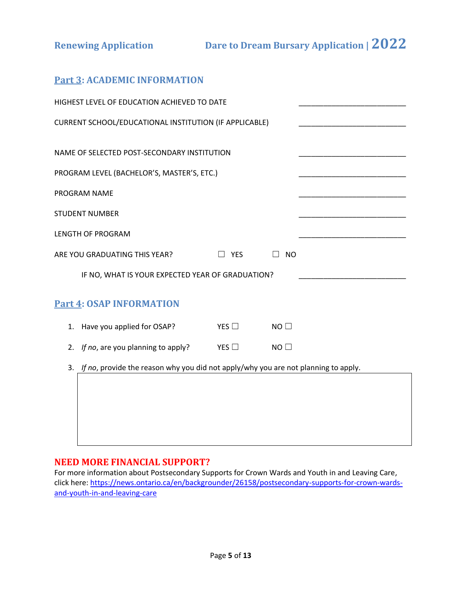### **Part 3: ACADEMIC INFORMATION**

|                                                  | HIGHEST LEVEL OF EDUCATION ACHIEVED TO DATE                                        |               |                |  |  |  |  |  |
|--------------------------------------------------|------------------------------------------------------------------------------------|---------------|----------------|--|--|--|--|--|
|                                                  | CURRENT SCHOOL/EDUCATIONAL INSTITUTION (IF APPLICABLE)                             |               |                |  |  |  |  |  |
|                                                  |                                                                                    |               |                |  |  |  |  |  |
|                                                  | NAME OF SELECTED POST-SECONDARY INSTITUTION                                        |               |                |  |  |  |  |  |
|                                                  | PROGRAM LEVEL (BACHELOR'S, MASTER'S, ETC.)                                         |               |                |  |  |  |  |  |
|                                                  | PROGRAM NAME                                                                       |               |                |  |  |  |  |  |
|                                                  | <b>STUDENT NUMBER</b>                                                              |               |                |  |  |  |  |  |
| <b>LENGTH OF PROGRAM</b>                         |                                                                                    |               |                |  |  |  |  |  |
|                                                  | ARE YOU GRADUATING THIS YEAR?                                                      | <b>YES</b>    | <b>NO</b>      |  |  |  |  |  |
| IF NO, WHAT IS YOUR EXPECTED YEAR OF GRADUATION? |                                                                                    |               |                |  |  |  |  |  |
|                                                  | <b>Part 4: OSAP INFORMATION</b>                                                    |               |                |  |  |  |  |  |
| 1.                                               | Have you applied for OSAP?                                                         | YES $\Box$    | $NO$ $\square$ |  |  |  |  |  |
| 2.                                               | If no, are you planning to apply?                                                  | YES $\square$ | NO             |  |  |  |  |  |
| 3.                                               | If no, provide the reason why you did not apply/why you are not planning to apply. |               |                |  |  |  |  |  |
|                                                  |                                                                                    |               |                |  |  |  |  |  |
|                                                  |                                                                                    |               |                |  |  |  |  |  |
|                                                  |                                                                                    |               |                |  |  |  |  |  |
|                                                  |                                                                                    |               |                |  |  |  |  |  |

#### **NEED MORE FINANCIAL SUPPORT?**

For more information about Postsecondary Supports for Crown Wards and Youth in and Leaving Care, click here: [https://news.ontario.ca/en/backgrounder/26158/postsecondary-supports-for-crown-wards](https://news.ontario.ca/en/backgrounder/26158/postsecondary-supports-for-crown-wards-and-youth-in-and-leaving-care)[and-youth-in-and-leaving-care](https://news.ontario.ca/en/backgrounder/26158/postsecondary-supports-for-crown-wards-and-youth-in-and-leaving-care)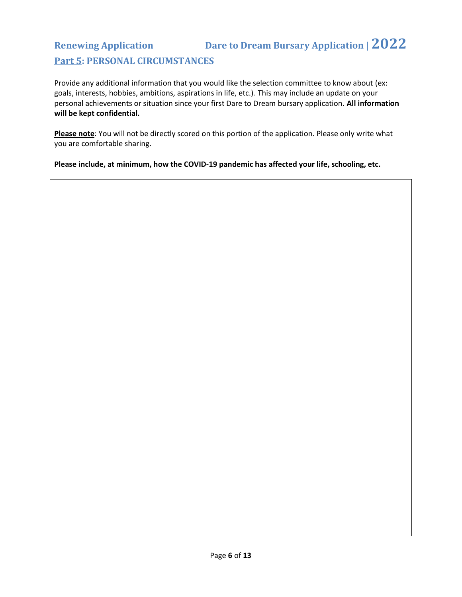# **Renewing Application Dare to Dream Bursary Application | 2022 Part 5: PERSONAL CIRCUMSTANCES**

Provide any additional information that you would like the selection committee to know about (ex: goals, interests, hobbies, ambitions, aspirations in life, etc.). This may include an update on your personal achievements or situation since your first Dare to Dream bursary application. **All information will be kept confidential.**

**Please note**: You will not be directly scored on this portion of the application. Please only write what you are comfortable sharing.

**Please include, at minimum, how the COVID-19 pandemic has affected your life, schooling, etc.**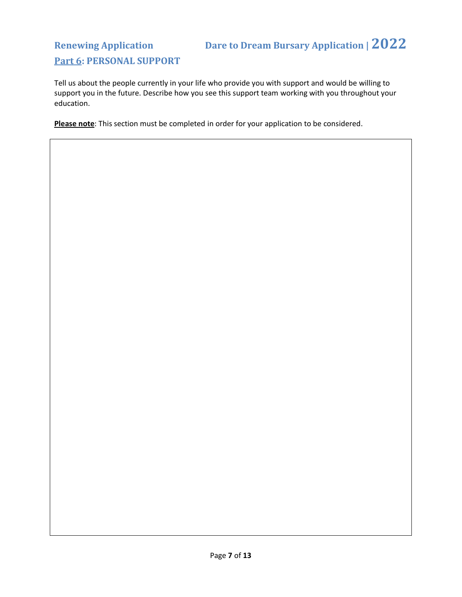# **Renewing Application Dare to Dream Bursary Application | 2022 Part 6: PERSONAL SUPPORT**

Tell us about the people currently in your life who provide you with support and would be willing to support you in the future. Describe how you see this support team working with you throughout your education.

**Please note**: This section must be completed in order for your application to be considered.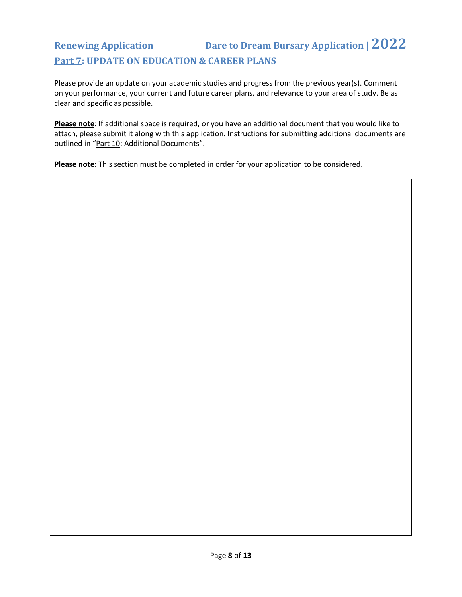# **Renewing Application Dare to Dream Bursary Application | 2022 Part 7: UPDATE ON EDUCATION & CAREER PLANS**

Please provide an update on your academic studies and progress from the previous year(s). Comment on your performance, your current and future career plans, and relevance to your area of study. Be as clear and specific as possible.

**Please note**: If additional space is required, or you have an additional document that you would like to attach, please submit it along with this application. Instructions for submitting additional documents are outlined in "Part 10: Additional Documents".

**Please note**: This section must be completed in order for your application to be considered.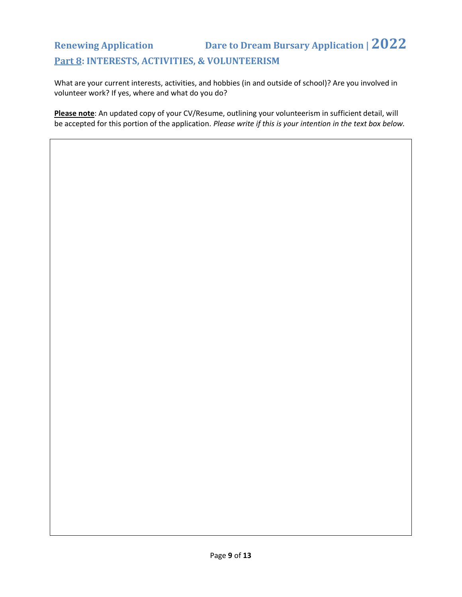# **Renewing Application Dare to Dream Bursary Application | 2022 Part 8: INTERESTS, ACTIVITIES, & VOLUNTEERISM**

What are your current interests, activities, and hobbies (in and outside of school)? Are you involved in volunteer work? If yes, where and what do you do?

**Please note**: An updated copy of your CV/Resume, outlining your volunteerism in sufficient detail, will be accepted for this portion of the application. *Please write if this is your intention in the text box below.*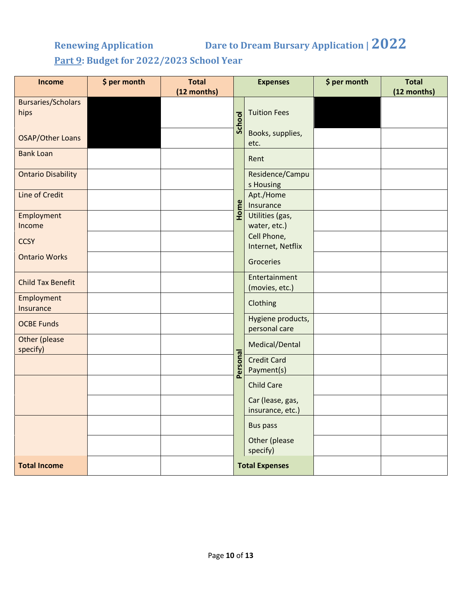# **Renewing Application Dare to Dream Bursary Application | 2022**

**Part 9: Budget for 2022/2023 School Year**

| Income                            | \$ per month | <b>Total</b><br>(12 months) | <b>Expenses</b>       |                                      | \$ per month | <b>Total</b><br>(12 months) |
|-----------------------------------|--------------|-----------------------------|-----------------------|--------------------------------------|--------------|-----------------------------|
| <b>Bursaries/Scholars</b><br>hips |              |                             | <b>School</b>         | <b>Tuition Fees</b>                  |              |                             |
| <b>OSAP/Other Loans</b>           |              |                             |                       | Books, supplies,<br>etc.             |              |                             |
| <b>Bank Loan</b>                  |              |                             |                       | Rent                                 |              |                             |
| <b>Ontario Disability</b>         |              |                             |                       | Residence/Campu<br>s Housing         |              |                             |
| Line of Credit                    |              |                             | me                    | Apt./Home<br>Insurance               |              |                             |
| Employment<br>Income              |              |                             | 훈                     | Utilities (gas,<br>water, etc.)      |              |                             |
| <b>CCSY</b>                       |              |                             |                       | Cell Phone,<br>Internet, Netflix     |              |                             |
| <b>Ontario Works</b>              |              |                             |                       | Groceries                            |              |                             |
| <b>Child Tax Benefit</b>          |              |                             |                       | Entertainment<br>(movies, etc.)      |              |                             |
| Employment<br>Insurance           |              |                             |                       | Clothing                             |              |                             |
| <b>OCBE Funds</b>                 |              |                             |                       | Hygiene products,<br>personal care   |              |                             |
| Other (please<br>specify)         |              |                             |                       | Medical/Dental                       |              |                             |
|                                   |              |                             | Personal              | <b>Credit Card</b><br>Payment(s)     |              |                             |
|                                   |              |                             |                       | <b>Child Care</b>                    |              |                             |
|                                   |              |                             |                       | Car (lease, gas,<br>insurance, etc.) |              |                             |
|                                   |              |                             |                       | <b>Bus pass</b>                      |              |                             |
|                                   |              |                             |                       | Other (please<br>specify)            |              |                             |
| <b>Total Income</b>               |              |                             | <b>Total Expenses</b> |                                      |              |                             |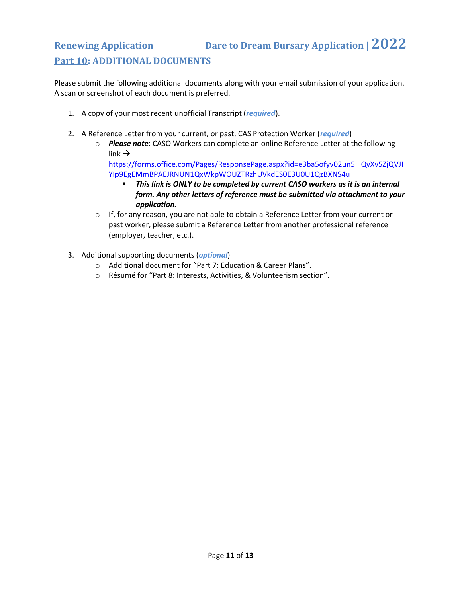# **Renewing Application Dare to Dream Bursary Application | 2022 Part 10: ADDITIONAL DOCUMENTS**

Please submit the following additional documents along with your email submission of your application. A scan or screenshot of each document is preferred.

- 1. A copy of your most recent unofficial Transcript (*required*).
- 2. A Reference Letter from your current, or past, CAS Protection Worker (*required*)
	- o *Please note*: CASO Workers can complete an online Reference Letter at the following link  $\rightarrow$

[https://forms.office.com/Pages/ResponsePage.aspx?id=e3ba5ofyv02un5\\_lQvXv5ZjQVJI](https://forms.office.com/Pages/ResponsePage.aspx?id=e3ba5ofyv02un5_lQvXv5ZjQVJIYIp9EgEMmBPAEJRNUN1QxWkpWOUZTRzhUVkdES0E3U0U1QzBXNS4u) [YIp9EgEMmBPAEJRNUN1QxWkpWOUZTRzhUVkdES0E3U0U1QzBXNS4u](https://forms.office.com/Pages/ResponsePage.aspx?id=e3ba5ofyv02un5_lQvXv5ZjQVJIYIp9EgEMmBPAEJRNUN1QxWkpWOUZTRzhUVkdES0E3U0U1QzBXNS4u)

- *This link is ONLY to be completed by current CASO workers as it is an internal form. Any other letters of reference must be submitted via attachment to your application.*
- $\circ$  If, for any reason, you are not able to obtain a Reference Letter from your current or past worker, please submit a Reference Letter from another professional reference (employer, teacher, etc.).
- 3. Additional supporting documents (*optional*)
	- o Additional document for "Part 7: Education & Career Plans".
	- o Résumé for "Part 8: Interests, Activities, & Volunteerism section".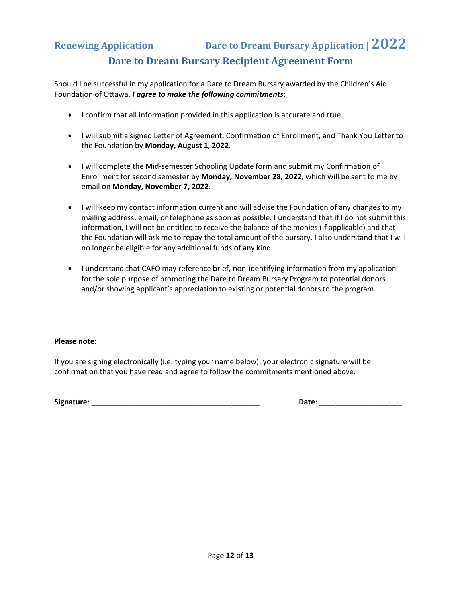## **Renewing Application Dare to Dream Bursary Application | 2022 Dare to Dream Bursary Recipient Agreement Form**

Should I be successful in my application for a Dare to Dream Bursary awarded by the Children's Aid Foundation of Ottawa, *I agree to make the following commitments*:

- I confirm that all information provided in this application is accurate and true.
- I will submit a signed Letter of Agreement, Confirmation of Enrollment, and Thank You Letter to the Foundation by **Monday, August 1, 2022**.
- I will complete the Mid-semester Schooling Update form and submit my Confirmation of Enrollment for second semester by **Monday, November 28, 2022**, which will be sent to me by email on **Monday, November 7, 2022**.
- I will keep my contact information current and will advise the Foundation of any changes to my mailing address, email, or telephone as soon as possible. I understand that if I do not submit this information, I will not be entitled to receive the balance of the monies (if applicable) and that the Foundation will ask me to repay the total amount of the bursary. I also understand that I will no longer be eligible for any additional funds of any kind.
- I understand that CAFO may reference brief, non-identifying information from my application for the sole purpose of promoting the Dare to Dream Bursary Program to potential donors and/or showing applicant's appreciation to existing or potential donors to the program.

#### **Please note**:

If you are signing electronically (i.e. typing your name below), your electronic signature will be confirmation that you have read and agree to follow the commitments mentioned above.

**Signature**: \_\_\_\_\_\_\_\_\_\_\_\_\_\_\_\_\_\_\_\_\_\_\_\_\_\_\_\_\_\_\_\_\_\_\_\_\_\_\_\_\_ **Date**: \_\_\_\_\_\_\_\_\_\_\_\_\_\_\_\_\_\_\_\_